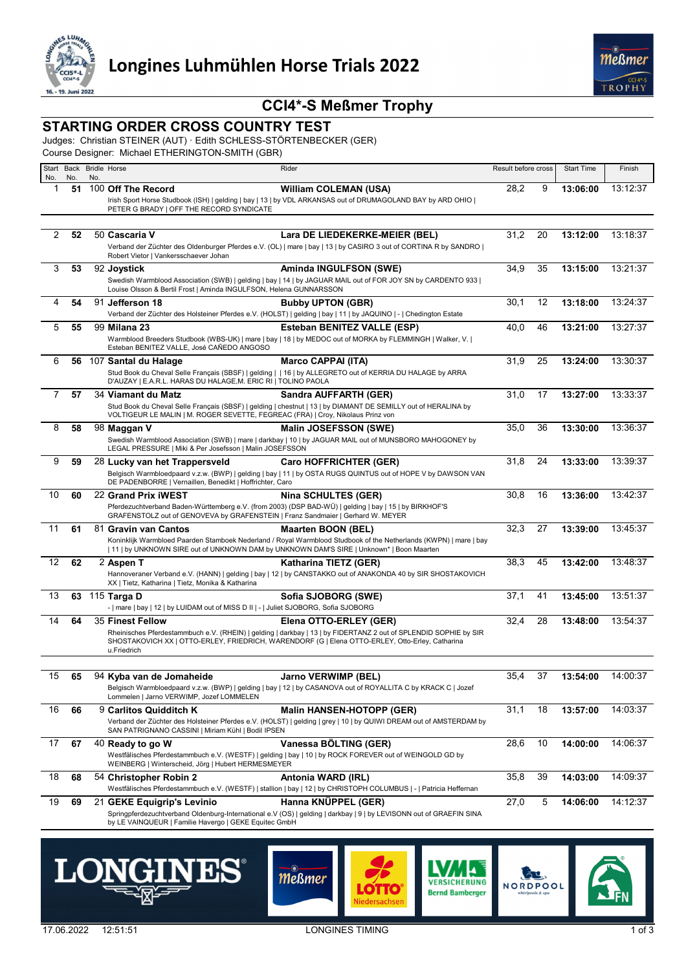

# **CCI4\*-S Meßmer Trophy**

#### **STARTING ORDER CROSS COUNTRY TEST**

Judges: Christian STEINER (AUT) · Edith SCHLESS-STÖRTENBECKER (GER)

Course Designer: Michael ETHERINGTON-SMITH (GBR)

| Start<br>No. | No. | No. | Back Bridle Horse                                                                       | Rider                                                                                                                                                                                                               | Result before cross |    | <b>Start Time</b> | Finish   |
|--------------|-----|-----|-----------------------------------------------------------------------------------------|---------------------------------------------------------------------------------------------------------------------------------------------------------------------------------------------------------------------|---------------------|----|-------------------|----------|
| 1            | 51  |     | 100 Off The Record                                                                      | <b>William COLEMAN (USA)</b>                                                                                                                                                                                        | 28,2                | 9  | 13:06:00          | 13:12:37 |
|              |     |     |                                                                                         | Irish Sport Horse Studbook (ISH)   gelding   bay   13   by VDL ARKANSAS out of DRUMAGOLAND BAY by ARD OHIO                                                                                                          |                     |    |                   |          |
|              |     |     | PETER G BRADY   OFF THE RECORD SYNDICATE                                                |                                                                                                                                                                                                                     |                     |    |                   |          |
| 2            | 52  |     | 50 Cascaria V                                                                           | Lara DE LIEDEKERKE-MEIER (BEL)                                                                                                                                                                                      | 31,2                | 20 | 13:12:00          | 13:18:37 |
|              |     |     |                                                                                         | Verband der Züchter des Oldenburger Pferdes e.V. (OL)   mare   bay   13   by CASIRO 3 out of CORTINA R by SANDRO                                                                                                    |                     |    |                   |          |
|              |     |     | Robert Vietor   Vankersschaever Johan                                                   |                                                                                                                                                                                                                     |                     |    |                   |          |
| 3            | 53  |     | 92 Joystick                                                                             | Aminda INGULFSON (SWE)<br>Swedish Warmblood Association (SWB)   gelding   bay   14   by JAGUAR MAIL out of FOR JOY SN by CARDENTO 933                                                                               | 34,9                | 35 | 13:15:00          | 13:21:37 |
|              |     |     | Louise Olsson & Bertil Frost   Aminda INGULFSON, Helena GUNNARSSON                      |                                                                                                                                                                                                                     |                     |    |                   |          |
| 4            | 54  |     | 91 Jefferson 18                                                                         | <b>Bubby UPTON (GBR)</b>                                                                                                                                                                                            | 30,1                | 12 | 13:18:00          | 13:24:37 |
|              |     |     |                                                                                         | Verband der Züchter des Holsteiner Pferdes e.V. (HOLST)   gelding   bay   11   by JAQUINO   -   Chedington Estate                                                                                                   |                     |    |                   |          |
| 5            | 55  |     | 99 Milana 23                                                                            | Esteban BENITEZ VALLE (ESP)<br>Warmblood Breeders Studbook (WBS-UK)   mare   bay   18   by MEDOC out of MORKA by FLEMMINGH   Walker, V.                                                                             | 40,0                | 46 | 13:21:00          | 13:27:37 |
|              |     |     | Esteban BENITEZ VALLE, José CAÑEDO ANGOSO                                               |                                                                                                                                                                                                                     |                     |    |                   |          |
| 6            | 56  |     | 107 Santal du Halage                                                                    | <b>Marco CAPPAI (ITA)</b>                                                                                                                                                                                           | 31,9                | 25 | 13:24:00          | 13:30:37 |
|              |     |     | D'AUZAY   E.A.R.L. HARAS DU HALAGE, M. ERIC RI   TOLINO PAOLA                           | Stud Book du Cheval Selle Français (SBSF)   gelding     16   by ALLEGRETO out of KERRIA DU HALAGE by ARRA                                                                                                           |                     |    |                   |          |
| 7            | 57  |     | 34 Viamant du Matz                                                                      | Sandra AUFFARTH (GER)                                                                                                                                                                                               | 31,0                | 17 | 13:27:00          | 13:33:37 |
|              |     |     |                                                                                         | Stud Book du Cheval Selle Français (SBSF)   gelding   chestnut   13   by DIAMANT DE SEMILLY out of HERALINA by                                                                                                      |                     |    |                   |          |
|              |     |     | VOLTIGEUR LE MALIN   M. ROGER SEVETTE, FEGREAC (FRA)   Croy, Nikolaus Prinz von         |                                                                                                                                                                                                                     |                     |    |                   |          |
| 8            | 58  |     | 98 Maggan V                                                                             | <b>Malin JOSEFSSON (SWE)</b><br>Swedish Warmblood Association (SWB)   mare   darkbay   10   by JAGUAR MAIL out of MUNSBORO MAHOGONEY by                                                                             | 35,0                | 36 | 13:30:00          | 13:36:37 |
|              |     |     | LEGAL PRESSURE   Miki & Per Josefsson   Malin JOSEFSSON                                 |                                                                                                                                                                                                                     |                     |    |                   |          |
| 9            | 59  |     | 28 Lucky van het Trappersveld                                                           | <b>Caro HOFFRICHTER (GER)</b>                                                                                                                                                                                       | 31,8                | 24 | 13:33:00          | 13:39:37 |
|              |     |     | DE PADENBORRE   Vernaillen, Benedikt   Hoffrichter, Caro                                | Belgisch Warmbloedpaard v.z.w. (BWP)   gelding   bay   11   by OSTA RUGS QUINTUS out of HOPE V by DAWSON VAN                                                                                                        |                     |    |                   |          |
| 10           | 60  |     | 22 Grand Prix IWEST                                                                     | <b>Nina SCHULTES (GER)</b>                                                                                                                                                                                          | 30,8                | 16 | 13:36:00          | 13:42:37 |
|              |     |     |                                                                                         | Pferdezuchtverband Baden-Württemberg e.V. (from 2003) (DSP BAD-WÜ)   gelding   bay   15   by BIRKHOF'S                                                                                                              |                     |    |                   |          |
|              |     |     | GRAFENSTOLZ out of GENOVEVA by GRAFENSTEIN   Franz Sandmaier   Gerhard W. MEYER         |                                                                                                                                                                                                                     | 32,3                | 27 |                   | 13:45:37 |
| 11           | 61  |     | 81 Gravin van Cantos                                                                    | <b>Maarten BOON (BEL)</b><br>Koninklijk Warmbloed Paarden Stamboek Nederland / Royal Warmblood Studbook of the Netherlands (KWPN)   mare   bay                                                                      |                     |    | 13:39:00          |          |
|              |     |     | 11   by UNKNOWN SIRE out of UNKNOWN DAM by UNKNOWN DAM'S SIRE   Unknown*   Boon Maarten |                                                                                                                                                                                                                     |                     |    |                   |          |
| 12           | 62  |     | 2 Aspen T                                                                               | Katharina TIETZ (GER)                                                                                                                                                                                               | 38,3                | 45 | 13:42:00          | 13:48:37 |
|              |     |     | XX   Tietz, Katharina   Tietz, Monika & Katharina                                       | Hannoveraner Verband e.V. (HANN)   gelding   bay   12   by CANSTAKKO out of ANAKONDA 40 by SIR SHOSTAKOVICH                                                                                                         |                     |    |                   |          |
| 13           |     |     | 63 115 Targa D                                                                          | Sofia SJOBORG (SWE)                                                                                                                                                                                                 | 37,1                | 41 | 13:45:00          | 13:51:37 |
|              |     |     | -   mare   bay   12   by LUIDAM out of MISS D II   -   Juliet SJOBORG, Sofia SJOBORG    |                                                                                                                                                                                                                     |                     |    |                   |          |
| 14           | 64  |     | 35 Finest Fellow                                                                        | Elena OTTO-ERLEY (GER)                                                                                                                                                                                              | 32,4                | 28 | 13:48:00          | 13:54:37 |
|              |     |     |                                                                                         | Rheinisches Pferdestammbuch e.V. (RHEIN)   gelding   darkbay   13   by FIDERTANZ 2 out of SPLENDID SOPHIE by SIR<br>SHOSTAKOVICH XX   OTTO-ERLEY, FRIEDRICH, WARENDORF (G   Elena OTTO-ERLEY, Otto-Erley, Catharina |                     |    |                   |          |
|              |     |     | u.Friedrich                                                                             |                                                                                                                                                                                                                     |                     |    |                   |          |
|              |     |     |                                                                                         |                                                                                                                                                                                                                     |                     |    |                   |          |
| 15           | 65  |     | 94 Kyba van de Jomaheide                                                                | <b>Jarno VERWIMP (BEL)</b>                                                                                                                                                                                          | 35,4                | 37 | 13:54:00          | 14:00:37 |
|              |     |     | Lommelen   Jarno VERWIMP, Jozef LOMMELEN                                                | Belgisch Warmbloedpaard v.z.w. (BWP)   gelding   bay   12   by CASANOVA out of ROYALLITA C by KRACK C   Jozef                                                                                                       |                     |    |                   |          |
| 16           | 66  |     | 9 Carlitos Quidditch K                                                                  | <b>Malin HANSEN-HOTOPP (GER)</b>                                                                                                                                                                                    | 31,1                | 18 | 13:57:00          | 14:03:37 |
|              |     |     | SAN PATRIGNANO CASSINI   Miriam Kühl   Bodil IPSEN                                      | Verband der Züchter des Holsteiner Pferdes e.V. (HOLST)   gelding   grey   10   by QUIWI DREAM out of AMSTERDAM by                                                                                                  |                     |    |                   |          |
| 17           | 67  |     | 40 Ready to go W                                                                        | Vanessa BÖLTING (GER)                                                                                                                                                                                               | 28,6                | 10 | 14:00:00          | 14:06:37 |
|              |     |     |                                                                                         | Westfälisches Pferdestammbuch e.V. (WESTF)   gelding   bay   10   by ROCK FOREVER out of WEINGOLD GD by                                                                                                             |                     |    |                   |          |
|              |     |     | WEINBERG   Winterscheid, Jörg   Hubert HERMESMEYER                                      |                                                                                                                                                                                                                     |                     |    |                   |          |
| 18           | 68  |     | 54 Christopher Robin 2                                                                  | Antonia WARD (IRL)                                                                                                                                                                                                  | 35,8                | 39 | 14:03:00          | 14:09:37 |
|              |     |     |                                                                                         | Westfälisches Pferdestammbuch e.V. (WESTF)   stallion   bay   12   by CHRISTOPH COLUMBUS   -   Patricia Heffernan                                                                                                   |                     |    |                   |          |
| 19           | 69  |     | 21 GEKE Equigrip's Levinio                                                              | Hanna KNÜPPEL (GER)<br>Springpferdezuchtverband Oldenburg-International e.V (OS)   gelding   darkbay   9   by LEVISONN out of GRAEFIN SINA                                                                          | 27,0                | 5  | 14:06:00          | 14:12:37 |
|              |     |     | by LE VAINQUEUR   Familie Havergo   GEKE Equitec GmbH                                   |                                                                                                                                                                                                                     |                     |    |                   |          |









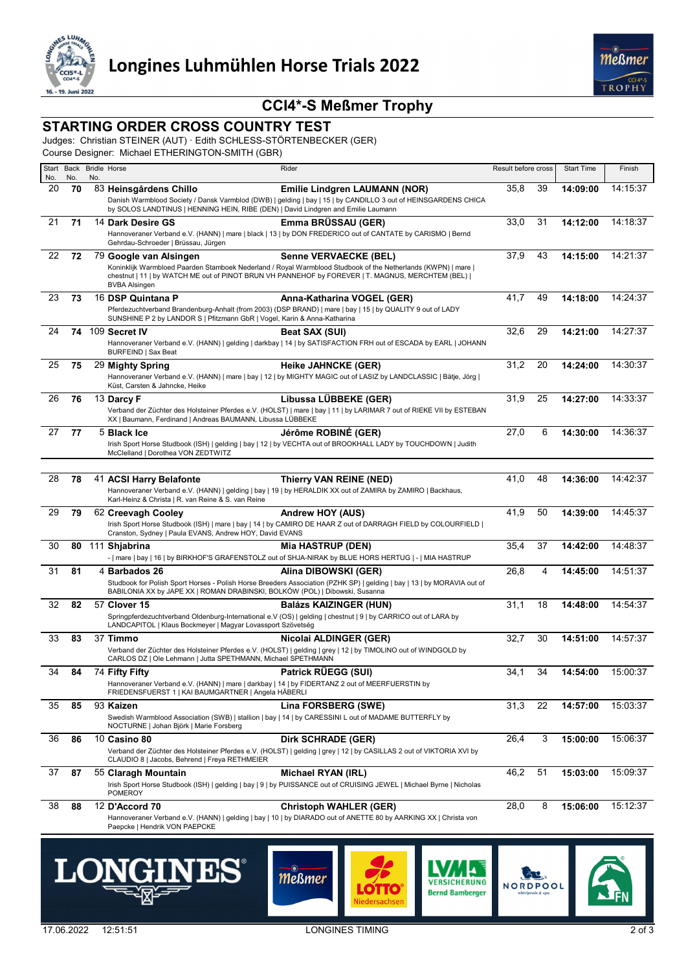

# **CCI4\*-S Meßmer Trophy**

### **STARTING ORDER CROSS COUNTRY TEST**

Judges: Christian STEINER (AUT) · Edith SCHLESS-STÖRTENBECKER (GER)

Course Designer: Michael ETHERINGTON-SMITH (GBR)

| No. | No. | No. | Start Back Bridle Horse                                                                                                                               | Rider                                                                                                                                                                                                                                      | Result before cross |    | <b>Start Time</b> | Finish   |
|-----|-----|-----|-------------------------------------------------------------------------------------------------------------------------------------------------------|--------------------------------------------------------------------------------------------------------------------------------------------------------------------------------------------------------------------------------------------|---------------------|----|-------------------|----------|
| 20  | 70  |     | 83 Heinsgårdens Chillo                                                                                                                                | <b>Emilie Lindgren LAUMANN (NOR)</b>                                                                                                                                                                                                       | 35,8                | 39 | 14:09:00          | 14:15:37 |
|     |     |     | by SOLOS LANDTINUS   HENNING HEIN, RIBE (DEN)   David Lindgren and Emilie Laumann                                                                     | Danish Warmblood Society / Dansk Varmblod (DWB)   gelding   bay   15   by CANDILLO 3 out of HEINSGARDENS CHICA                                                                                                                             |                     |    |                   |          |
| 21  | 71  |     | 14 Dark Desire GS<br>Gehrdau-Schroeder   Brüssau, Jürgen                                                                                              | Emma BRÜSSAU (GER)<br>Hannoveraner Verband e.V. (HANN)   mare   black   13   by DON FREDERICO out of CANTATE by CARISMO   Bernd                                                                                                            | 33,0                | 31 | 14:12:00          | 14:18:37 |
| 22  | 72  |     | 79 Google van Alsingen                                                                                                                                | Senne VERVAECKE (BEL)<br>Koninklijk Warmbloed Paarden Stamboek Nederland / Royal Warmblood Studbook of the Netherlands (KWPN)   mare  <br>chestnut   11   by WATCH ME out of PINOT BRUN VH PANNEHOF by FOREVER   T. MAGNUS, MERCHTEM (BEL) | 37,9                | 43 | 14:15:00          | 14:21:37 |
| 23  | 73  |     | <b>BVBA Alsingen</b><br>16 DSP Quintana P                                                                                                             | Anna-Katharina VOGEL (GER)                                                                                                                                                                                                                 | 41,7                | 49 | 14:18:00          | 14:24:37 |
|     |     |     | SUNSHINE P 2 by LANDOR S   Pfitzmann GbR   Vogel, Karin & Anna-Katharina                                                                              | Pferdezuchtverband Brandenburg-Anhalt (from 2003) (DSP BRAND)   mare   bay   15   by QUALITY 9 out of LADY                                                                                                                                 |                     |    |                   |          |
| 24  | 74  |     | 109 Secret IV                                                                                                                                         | Beat SAX (SUI)                                                                                                                                                                                                                             | 32,6                | 29 | 14:21:00          | 14:27:37 |
|     |     |     | BURFEIND   Sax Beat                                                                                                                                   | Hannoveraner Verband e.V. (HANN)   gelding   darkbay   14   by SATISFACTION FRH out of ESCADA by EARL   JOHANN                                                                                                                             |                     |    |                   |          |
| 25  | 75  |     | 29 Mighty Spring<br>Küst, Carsten & Jahncke, Heike                                                                                                    | <b>Heike JAHNCKE (GER)</b><br>Hannoveraner Verband e.V. (HANN)   mare   bay   12   by MIGHTY MAGIC out of LASIZ by LANDCLASSIC   Bätje, Jörg                                                                                               | 31,2                | 20 | 14:24:00          | 14:30:37 |
| 26  | 76  |     | 13 Darcy F<br>XX   Baumann, Ferdinand   Andreas BAUMANN, Libussa LÜBBEKE                                                                              | Libussa LÜBBEKE (GER)<br>Verband der Züchter des Holsteiner Pferdes e.V. (HOLST)   mare   bay   11   by LARIMAR 7 out of RIEKE VII by ESTEBAN                                                                                              | 31,9                | 25 | 14:27:00          | 14:33:37 |
| 27  | 77  |     | 5 Black Ice<br>McClelland   Dorothea VON ZEDTWITZ                                                                                                     | Jérôme ROBINÉ (GER)<br>Irish Sport Horse Studbook (ISH)   gelding   bay   12   by VECHTA out of BROOKHALL LADY by TOUCHDOWN   Judith                                                                                                       | 27,0                | 6  | 14:30:00          | 14:36:37 |
|     |     |     |                                                                                                                                                       |                                                                                                                                                                                                                                            |                     |    |                   |          |
| 28  | 78  |     | 41 ACSI Harry Belafonte<br>Karl-Heinz & Christa   R. van Reine & S. van Reine                                                                         | Thierry VAN REINE (NED)<br>Hannoveraner Verband e.V. (HANN)   gelding   bay   19   by HERALDIK XX out of ZAMIRA by ZAMIRO   Backhaus,                                                                                                      | 41,0                | 48 | 14:36:00          | 14:42:37 |
| 29  | 79  |     | 62 Creevagh Cooley                                                                                                                                    | Andrew HOY (AUS)                                                                                                                                                                                                                           | 41,9                | 50 | 14:39:00          | 14:45:37 |
|     |     |     | Cranston, Sydney   Paula EVANS, Andrew HOY, David EVANS                                                                                               | Irish Sport Horse Studbook (ISH)   mare   bay   14   by CAMIRO DE HAAR Z out of DARRAGH FIELD by COLOURFIELD                                                                                                                               |                     |    |                   |          |
| 30  | 80  |     | 111 Shjabrina                                                                                                                                         | <b>Mia HASTRUP (DEN)</b><br>-   mare   bay   16   by BIRKHOF'S GRAFENSTOLZ out of SHJA-NIRAK by BLUE HORS HERTUG   -   MIA HASTRUP                                                                                                         | 35,4                | 37 | 14:42:00          | 14:48:37 |
| 31  | 81  |     | 4 Barbados 26<br>BABILONIA XX by JAPE XX   ROMAN DRABINSKI, BOLKÓW (POL)   Dibowski, Susanna                                                          | Alina DIBOWSKI (GER)<br>Studbook for Polish Sport Horses - Polish Horse Breeders Association (PZHK SP)   gelding   bay   13   by MORAVIA out of                                                                                            | 26,8                | 4  | 14:45:00          | 14:51:37 |
| 32  | 82  |     | 57 Clover 15                                                                                                                                          | <b>Balázs KAIZINGER (HUN)</b>                                                                                                                                                                                                              | 31,1                | 18 | 14:48:00          | 14:54:37 |
|     |     |     | LANDCAPITOL   Klaus Bockmeyer   Magyar Lovassport Szövetség                                                                                           | Springpferdezuchtverband Oldenburg-International e.V (OS)   gelding   chestnut   9   by CARRICO out of LARA by                                                                                                                             |                     |    |                   |          |
| 33  | 83  |     | 37 Timmo<br>CARLOS DZ   Ole Lehmann   Jutta SPETHMANN, Michael SPETHMANN                                                                              | Nicolai ALDINGER (GER)<br>Verband der Züchter des Holsteiner Pferdes e.V. (HOLST)   gelding   grey   12   by TIMOLINO out of WINDGOLD by                                                                                                   | 32,7                | 30 | 14:51:00          | 14:57:37 |
| 34  | 84  |     | 74 Fifty Fifty                                                                                                                                        | Patrick RÜEGG (SUI)                                                                                                                                                                                                                        | 34,1                | 34 | 14:54:00          | 15:00:37 |
|     |     |     | Hannoveraner Verband e.V. (HANN)   mare   darkbay   14   by FIDERTANZ 2 out of MEERFUERSTIN by<br>FRIEDENSFUERST 1   KAI BAUMGARTNER   Angela HÄBERLI |                                                                                                                                                                                                                                            |                     |    |                   |          |
| 35  | 85  |     | 93 Kaizen                                                                                                                                             | Lina FORSBERG (SWE)                                                                                                                                                                                                                        | 31,3                | 22 | 14:57:00          | 15:03:37 |
|     |     |     | NOCTURNE   Johan Björk   Marie Forsberg                                                                                                               | Swedish Warmblood Association (SWB)   stallion   bay   14   by CARESSINI L out of MADAME BUTTERFLY by                                                                                                                                      |                     |    |                   |          |
| 36  | 86  |     | 10 Casino 80<br>CLAUDIO 8   Jacobs, Behrend   Freya RETHMEIER                                                                                         | <b>Dirk SCHRADE (GER)</b><br>Verband der Züchter des Holsteiner Pferdes e.V. (HOLST)   gelding   grey   12   by CASILLAS 2 out of VIKTORIA XVI by                                                                                          | 26,4                | 3  | 15:00:00          | 15:06:37 |
| 37  | 87  |     | 55 Claragh Mountain                                                                                                                                   | Michael RYAN (IRL)                                                                                                                                                                                                                         | 46,2                | 51 | 15:03:00          | 15:09:37 |
|     |     |     | <b>POMEROY</b>                                                                                                                                        | Irish Sport Horse Studbook (ISH)   gelding   bay   9   by PUISSANCE out of CRUISING JEWEL   Michael Byrne   Nicholas                                                                                                                       |                     |    |                   |          |
| 38  | 88  |     | 12 D'Accord 70                                                                                                                                        | <b>Christoph WAHLER (GER)</b><br>Hannoveraner Verband e.V. (HANN)   gelding   bay   10   by DIARADO out of ANETTE 80 by AARKING XX   Christa von                                                                                           | 28,0                | 8  | 15:06:00          | 15:12:37 |
|     |     |     | Paepcke   Hendrik VON PAEPCKE                                                                                                                         |                                                                                                                                                                                                                                            |                     |    |                   |          |